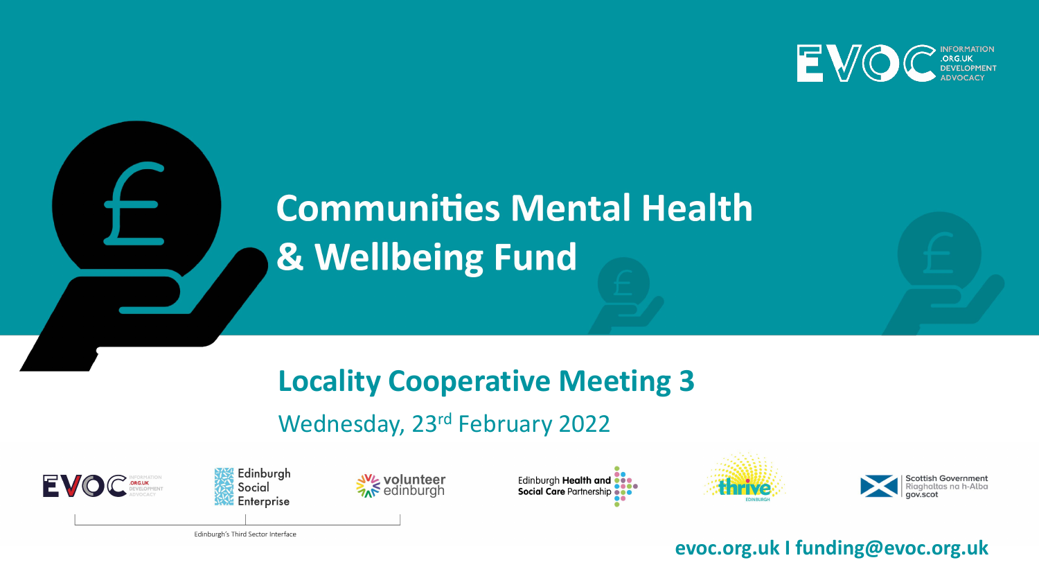

# **Communities Mental Health** & Wellbeing Fund

## **Locality Cooperative Meeting 3**

Wednesday, 23rd February 2022





**W<sub>S</sub> volunteer**<br>Ar edinburgh







**evoc.org.uk I funding@evoc.org.uk** 

Edinburgh's Third Sector Interface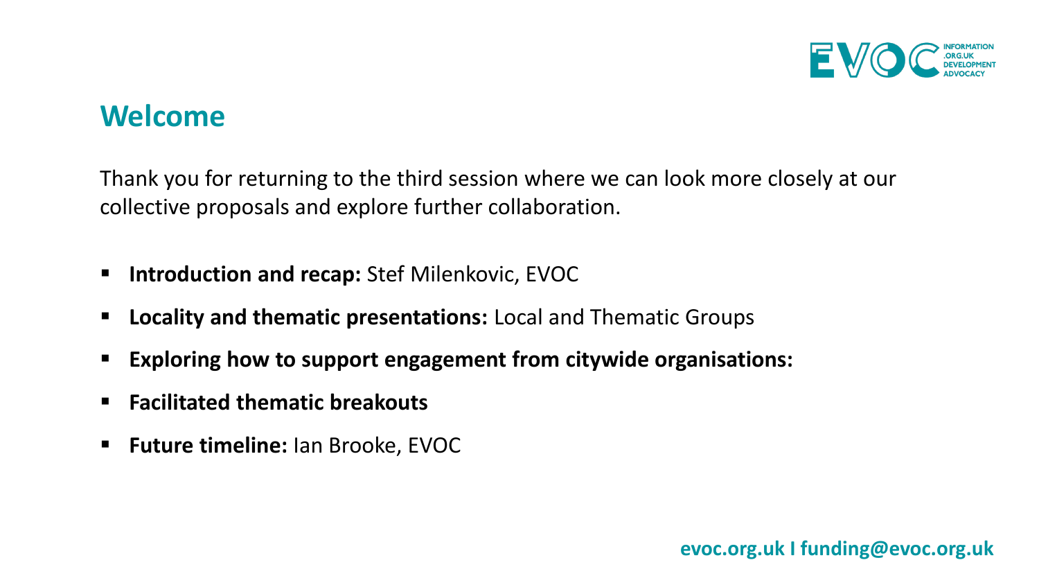

#### **Welcome**

Thank you for returning to the third session where we can look more closely at our collective proposals and explore further collaboration.

- **Introduction and recap: Stef Milenkovic, EVOC**
- **Locality and thematic presentations:** Local and Thematic Groups
- **Exploring how to support engagement from citywide organisations:**
- **Facilitated thematic breakouts**
- **Future timeline:** Ian Brooke, EVOC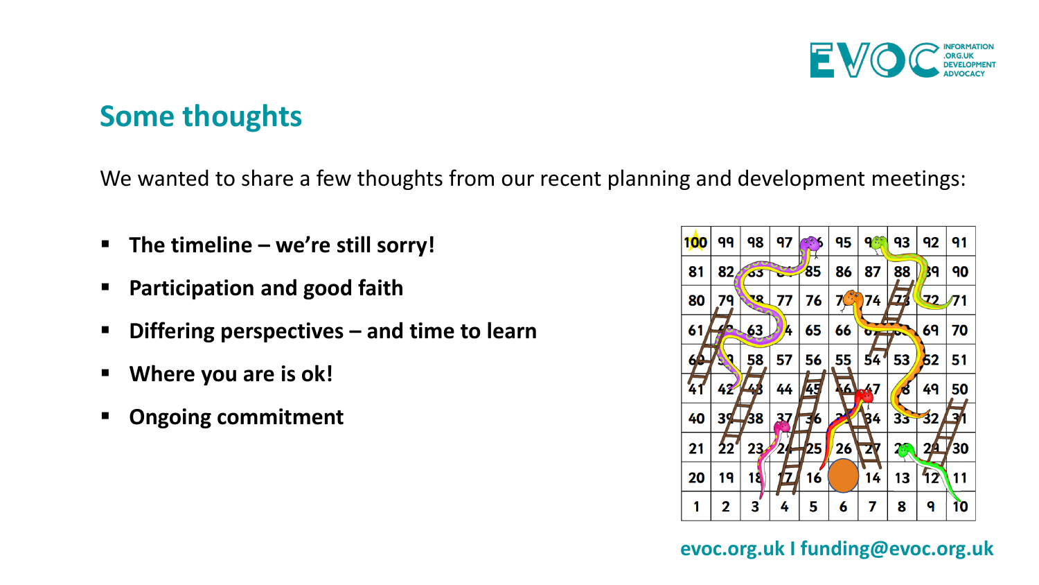

### **Some thoughts**

We wanted to share a few thoughts from our recent planning and development meetings:

- **The timeline – we're still sorry!**
- **Participation and good faith**
- **Differing perspectives – and time to learn**
- **Where you are is ok!**
- **Ongoing commitment**

| <b>100</b> | 99              | 98         | 97                      | $\circ$ . | 95              | 98                    | 93                        | 92              | 91  |
|------------|-----------------|------------|-------------------------|-----------|-----------------|-----------------------|---------------------------|-----------------|-----|
| 81         | 82              | $\delta$ 3 |                         | 85        | 86              | 87                    | 88                        | 39              | 90  |
| 80         | 79              | <b>RP</b>  | 77                      | 76        | 7C <sup>o</sup> | 74                    | 77                        | 72              | /71 |
| 61         | 70              | 63         | A,                      | 65        | 66              | $\sigma$ and $\sigma$ | h-                        | 69              | 70  |
| 60         | o               | 58         | 57                      | 56        | 55              | 54'                   | 53                        | 52              | 51  |
| ั41        | 42              | $\mu_{4}$  | 44                      | 45        |                 | <b>16 47</b>          | త                         | 49              | 50  |
| 40         | 39 <sub>1</sub> | 38         | 37                      | 6         | 2               | 84                    | 33                        | $\overline{32}$ | 3   |
| 21         | 22'             | 23         |                         | 25        | 26              | Z7                    | $T^{\circ}_{\mathcal{F}}$ | 2 <u>/4</u>     | 30  |
| 20         | 19              | 18         | $\overline{\mathbf{Z}}$ | 16        |                 | 14                    | 13                        | 12              | 11  |
| 1          | $\mathbf 2$     | 3          | 4                       | 5         | 6               | 7                     | 8                         | 9               | 10  |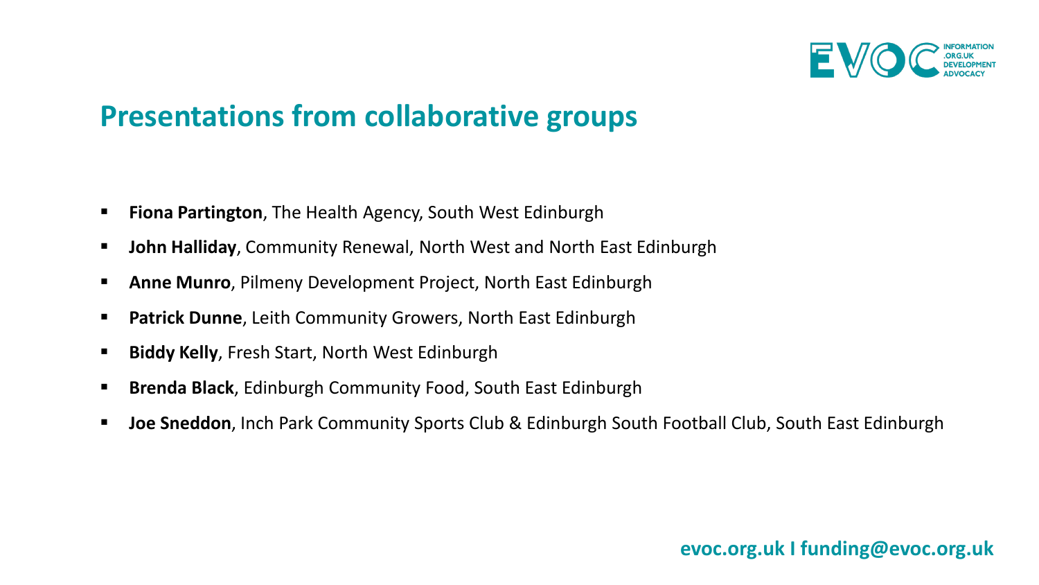

### **Presentations from collaborative groups**

- **Fiona Partington**, The Health Agency, South West Edinburgh
- **John Halliday**, Community Renewal, North West and North East Edinburgh
- **Anne Munro**, Pilmeny Development Project, North East Edinburgh
- **Patrick Dunne**, Leith Community Growers, North East Edinburgh
- **Biddy Kelly, Fresh Start, North West Edinburgh**
- **Brenda Black**, Edinburgh Community Food, South East Edinburgh
- **Joe Sneddon**, Inch Park Community Sports Club & Edinburgh South Football Club, South East Edinburgh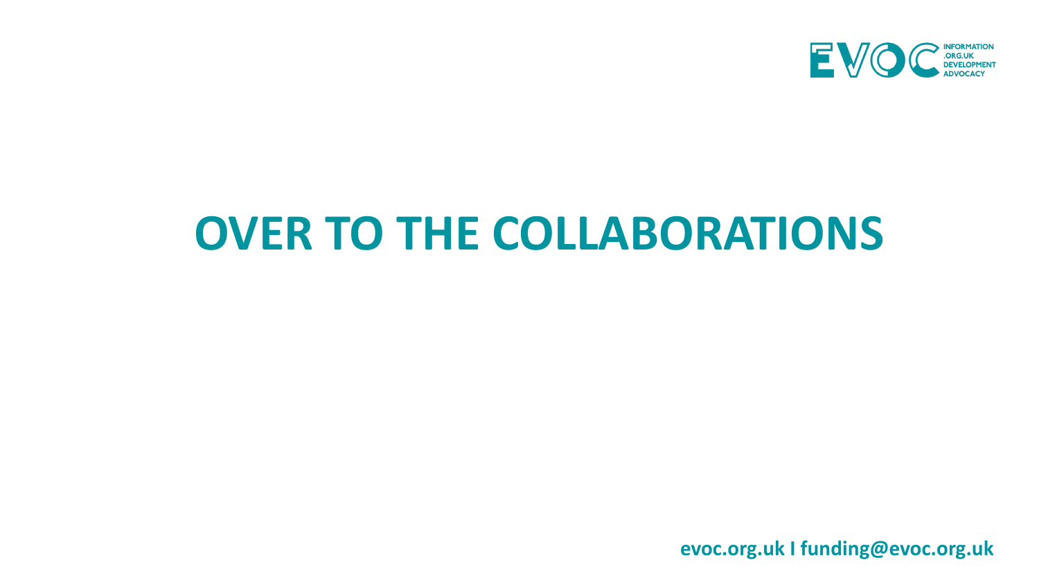

# **OVER TO THE COLLABORATIONS**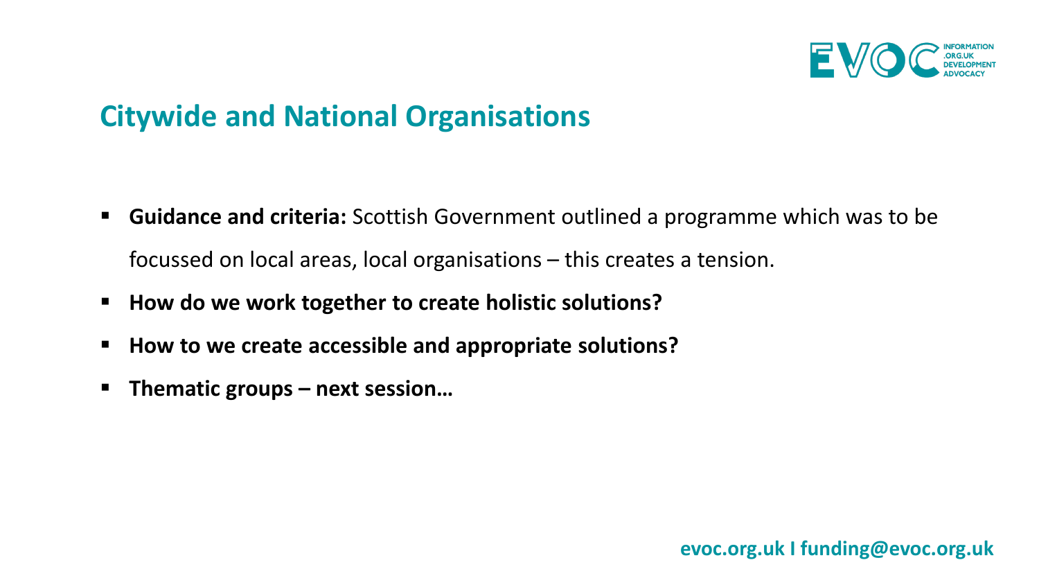

## **Citywide and National Organisations**

- **Guidance and criteria:** Scottish Government outlined a programme which was to be focussed on local areas, local organisations – this creates a tension.
- **How do we work together to create holistic solutions?**
- **How to we create accessible and appropriate solutions?**
- **Thematic groups – next session…**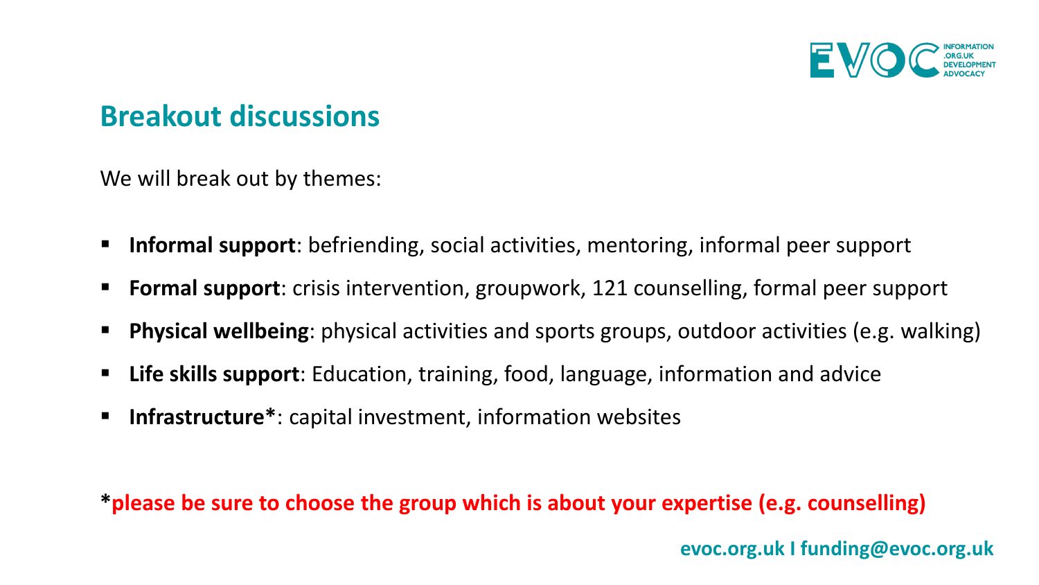

### **Breakout discussions**

We will break out by themes:

- **Informal support**: befriending, social activities, mentoring, informal peer support
- **Formal support**: crisis intervention, groupwork, 121 counselling, formal peer support
- **Physical wellbeing**: physical activities and sports groups, outdoor activities (e.g. walking)
- **Life skills support**: Education, training, food, language, information and advice
- **Infrastructure\***: capital investment, information websites

**\*please be sure to choose the group which is about your expertise (e.g. counselling)**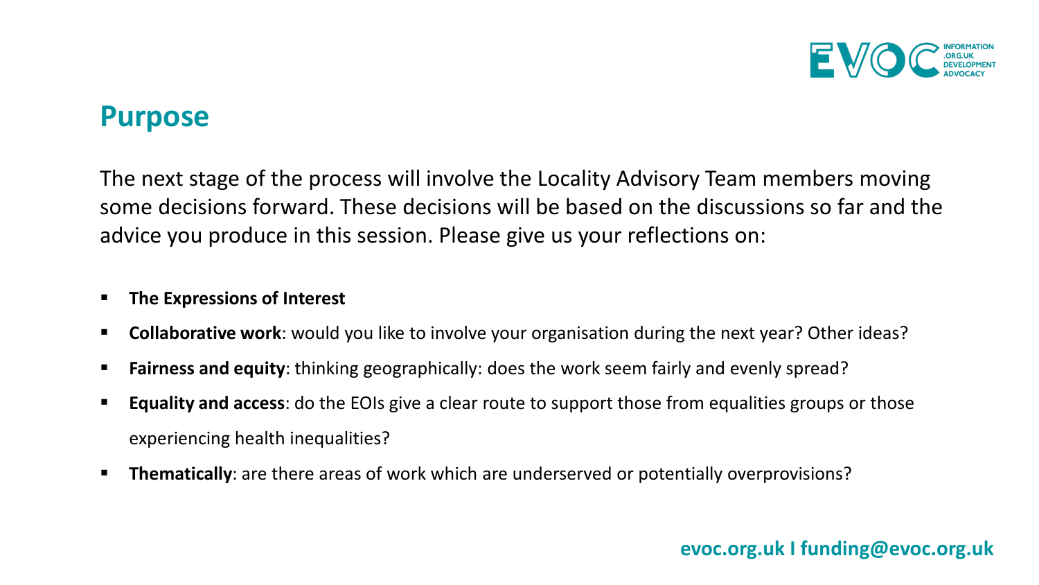

#### **Purpose**

The next stage of the process will involve the Locality Advisory Team members moving some decisions forward. These decisions will be based on the discussions so far and the advice you produce in this session. Please give us your reflections on:

#### **The Expressions of Interest**

- **Collaborative work**: would you like to involve your organisation during the next year? Other ideas?
- **Fairness and equity**: thinking geographically: does the work seem fairly and evenly spread?
- **Equality and access**: do the EOIs give a clear route to support those from equalities groups or those experiencing health inequalities?
- **Thematically**: are there areas of work which are underserved or potentially overprovisions?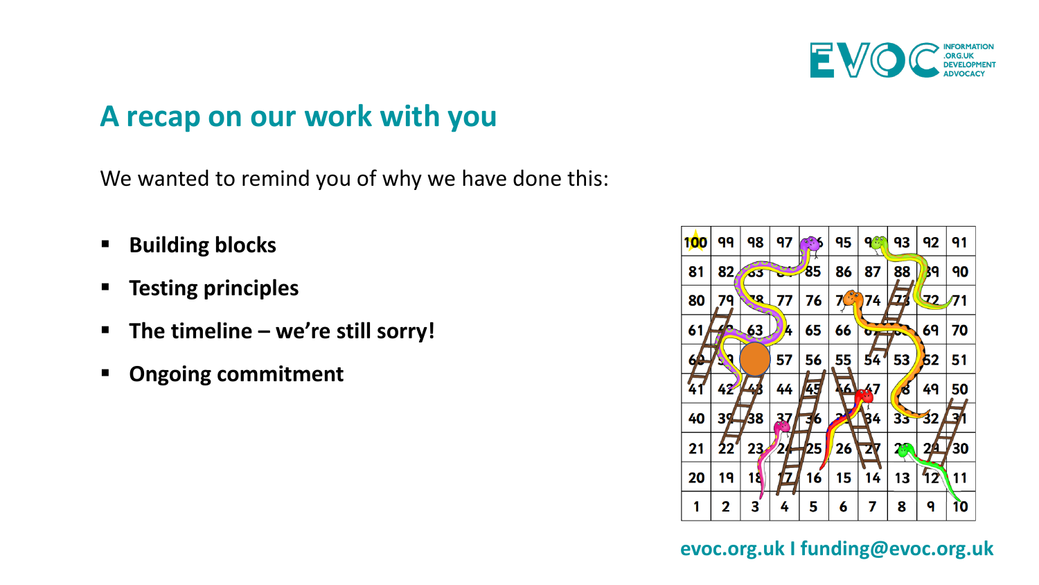

### **A recap on our work with you**

We wanted to remind you of why we have done this:

- **Building blocks**
- **Testing principles**
- **The timeline – we're still sorry!**
- **Ongoing commitment**

| <b>100</b> | 99          | 98              | 97     | $\circ \circ$ | 95              | $\mathbf{Q}$          | 93                                    | 92              | 91                   |
|------------|-------------|-----------------|--------|---------------|-----------------|-----------------------|---------------------------------------|-----------------|----------------------|
| 81         | 82          | 63              | $\sim$ | 85            | 86              | 87                    | 88                                    | 39              | 90                   |
| 80         | 79          | <b>RR</b>       | 77     | 76            | 7C <sup>o</sup> | 74                    | <b>77</b>                             | 72/71           |                      |
| 61         | 70          | 63              | A,     | 65            | 66              | $\sigma$ and $\sigma$ | Æ                                     | 69              | 70                   |
| 60         | 9           |                 | 57     | 56            | 55              | 54'                   | 53                                    | 52              | 51                   |
| 41         | 42          | $\mu_{\Lambda}$ | 44     | 45            |                 | 16 47                 | ಣೆ                                    | 49              | 50                   |
| 40         | $39+$       | 38              | 37     | 6<br>उ        |                 | 84                    | 33                                    | $\overline{32}$ | $\overrightarrow{3}$ |
| 21         | 22          | 23 <sub>1</sub> | 2      | 25            | 26              | <b>ZV</b>             | $\mathcal{L}_{\mathcal{F}}^{\bullet}$ | 2 <u>/4</u>     | 30                   |
| 20         | 19          | 18              | 7      | 16            | 15              | 14                    | 13                                    | 12              | 11                   |
| 1          | $\mathbf 2$ | 3               | 4      | 5             | 6               | 7                     | 8                                     | q               | 10                   |